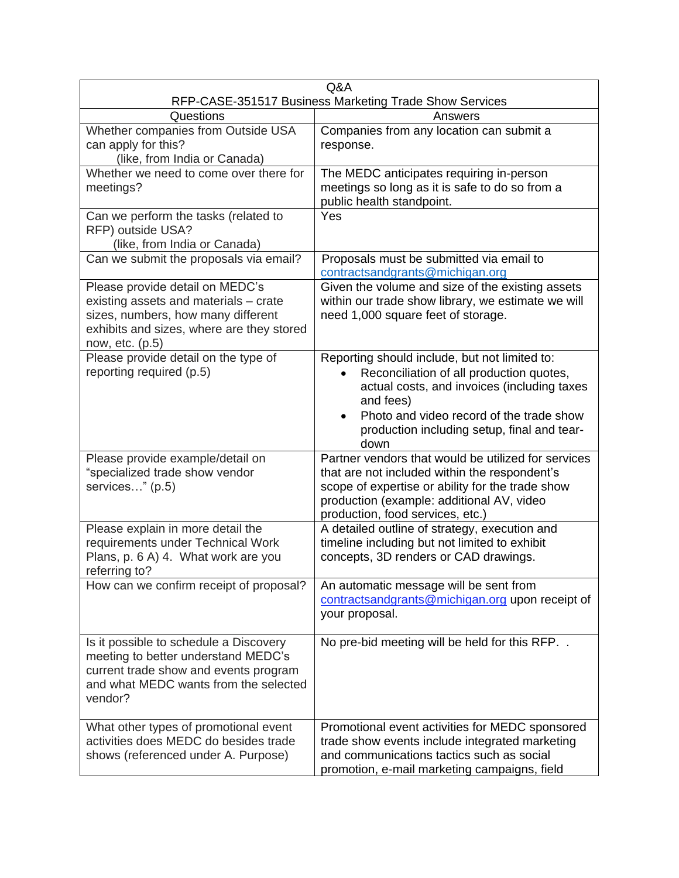|                                                                                                                                                                                | Q&A                                                                                                                                                                                                                                                                   |  |  |
|--------------------------------------------------------------------------------------------------------------------------------------------------------------------------------|-----------------------------------------------------------------------------------------------------------------------------------------------------------------------------------------------------------------------------------------------------------------------|--|--|
|                                                                                                                                                                                | RFP-CASE-351517 Business Marketing Trade Show Services                                                                                                                                                                                                                |  |  |
| Questions                                                                                                                                                                      | Answers                                                                                                                                                                                                                                                               |  |  |
| Whether companies from Outside USA<br>can apply for this?<br>(like, from India or Canada)                                                                                      | Companies from any location can submit a<br>response.                                                                                                                                                                                                                 |  |  |
| Whether we need to come over there for<br>meetings?                                                                                                                            | The MEDC anticipates requiring in-person<br>meetings so long as it is safe to do so from a<br>public health standpoint.                                                                                                                                               |  |  |
| Can we perform the tasks (related to<br>RFP) outside USA?<br>(like, from India or Canada)                                                                                      | Yes                                                                                                                                                                                                                                                                   |  |  |
| Can we submit the proposals via email?                                                                                                                                         | Proposals must be submitted via email to<br>contractsandgrants@michigan.org                                                                                                                                                                                           |  |  |
| Please provide detail on MEDC's<br>existing assets and materials - crate<br>sizes, numbers, how many different<br>exhibits and sizes, where are they stored<br>now, etc. (p.5) | Given the volume and size of the existing assets<br>within our trade show library, we estimate we will<br>need 1,000 square feet of storage.                                                                                                                          |  |  |
| Please provide detail on the type of<br>reporting required (p.5)                                                                                                               | Reporting should include, but not limited to:<br>Reconciliation of all production quotes,<br>actual costs, and invoices (including taxes<br>and fees)<br>Photo and video record of the trade show<br>$\bullet$<br>production including setup, final and tear-<br>down |  |  |
| Please provide example/detail on<br>"specialized trade show vendor<br>services" (p.5)                                                                                          | Partner vendors that would be utilized for services<br>that are not included within the respondent's<br>scope of expertise or ability for the trade show<br>production (example: additional AV, video<br>production, food services, etc.)                             |  |  |
| Please explain in more detail the<br>requirements under Technical Work<br>Plans, p. 6 A) 4. What work are you<br>referring to?                                                 | A detailed outline of strategy, execution and<br>timeline including but not limited to exhibit<br>concepts, 3D renders or CAD drawings.                                                                                                                               |  |  |
| How can we confirm receipt of proposal?                                                                                                                                        | An automatic message will be sent from<br>contractsandgrants@michigan.org upon receipt of<br>your proposal.                                                                                                                                                           |  |  |
| Is it possible to schedule a Discovery<br>meeting to better understand MEDC's<br>current trade show and events program<br>and what MEDC wants from the selected<br>vendor?     | No pre-bid meeting will be held for this RFP. .                                                                                                                                                                                                                       |  |  |
| What other types of promotional event<br>activities does MEDC do besides trade<br>shows (referenced under A. Purpose)                                                          | Promotional event activities for MEDC sponsored<br>trade show events include integrated marketing<br>and communications tactics such as social<br>promotion, e-mail marketing campaigns, field                                                                        |  |  |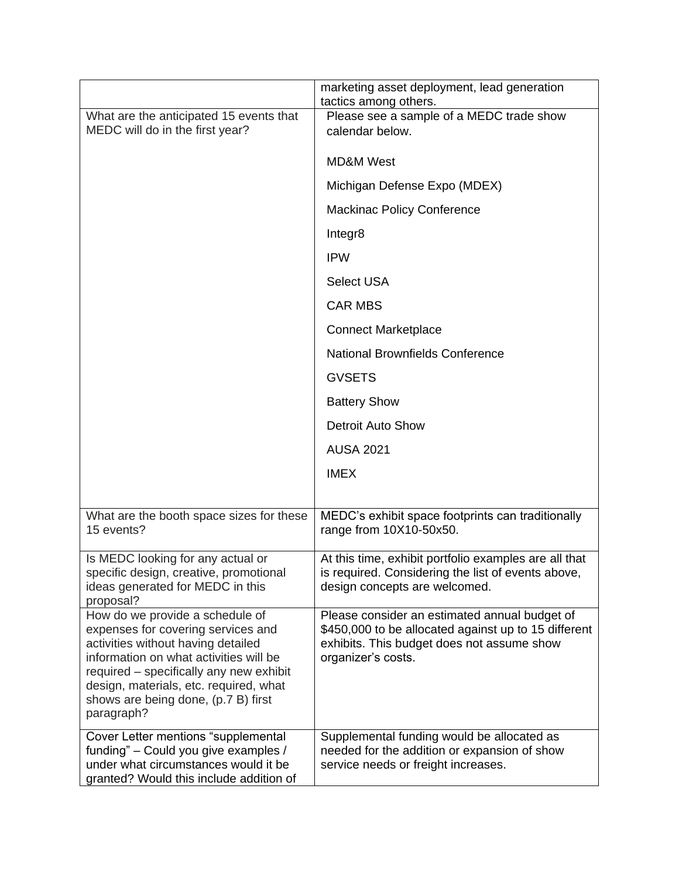|                                                                                                                                                                                                                                                                                                 | marketing asset deployment, lead generation<br>tactics among others.                                                                                                      |
|-------------------------------------------------------------------------------------------------------------------------------------------------------------------------------------------------------------------------------------------------------------------------------------------------|---------------------------------------------------------------------------------------------------------------------------------------------------------------------------|
| What are the anticipated 15 events that<br>MEDC will do in the first year?                                                                                                                                                                                                                      | Please see a sample of a MEDC trade show<br>calendar below.                                                                                                               |
|                                                                                                                                                                                                                                                                                                 | <b>MD&amp;M West</b>                                                                                                                                                      |
|                                                                                                                                                                                                                                                                                                 | Michigan Defense Expo (MDEX)                                                                                                                                              |
|                                                                                                                                                                                                                                                                                                 | <b>Mackinac Policy Conference</b>                                                                                                                                         |
|                                                                                                                                                                                                                                                                                                 | Integr8                                                                                                                                                                   |
|                                                                                                                                                                                                                                                                                                 | <b>IPW</b>                                                                                                                                                                |
|                                                                                                                                                                                                                                                                                                 | <b>Select USA</b>                                                                                                                                                         |
|                                                                                                                                                                                                                                                                                                 | <b>CAR MBS</b>                                                                                                                                                            |
|                                                                                                                                                                                                                                                                                                 | <b>Connect Marketplace</b>                                                                                                                                                |
|                                                                                                                                                                                                                                                                                                 | <b>National Brownfields Conference</b>                                                                                                                                    |
|                                                                                                                                                                                                                                                                                                 | <b>GVSETS</b>                                                                                                                                                             |
|                                                                                                                                                                                                                                                                                                 | <b>Battery Show</b>                                                                                                                                                       |
|                                                                                                                                                                                                                                                                                                 | <b>Detroit Auto Show</b>                                                                                                                                                  |
|                                                                                                                                                                                                                                                                                                 | <b>AUSA 2021</b>                                                                                                                                                          |
|                                                                                                                                                                                                                                                                                                 | <b>IMEX</b>                                                                                                                                                               |
|                                                                                                                                                                                                                                                                                                 |                                                                                                                                                                           |
| What are the booth space sizes for these<br>15 events?                                                                                                                                                                                                                                          | MEDC's exhibit space footprints can traditionally<br>range from 10X10-50x50.                                                                                              |
| Is MEDC looking for any actual or<br>specific design, creative, promotional<br>ideas generated for MEDC in this<br>proposal?                                                                                                                                                                    | At this time, exhibit portfolio examples are all that<br>is required. Considering the list of events above,<br>design concepts are welcomed.                              |
| How do we provide a schedule of<br>expenses for covering services and<br>activities without having detailed<br>information on what activities will be<br>required – specifically any new exhibit<br>design, materials, etc. required, what<br>shows are being done, (p.7 B) first<br>paragraph? | Please consider an estimated annual budget of<br>\$450,000 to be allocated against up to 15 different<br>exhibits. This budget does not assume show<br>organizer's costs. |
| Cover Letter mentions "supplemental<br>funding" - Could you give examples /<br>under what circumstances would it be<br>granted? Would this include addition of                                                                                                                                  | Supplemental funding would be allocated as<br>needed for the addition or expansion of show<br>service needs or freight increases.                                         |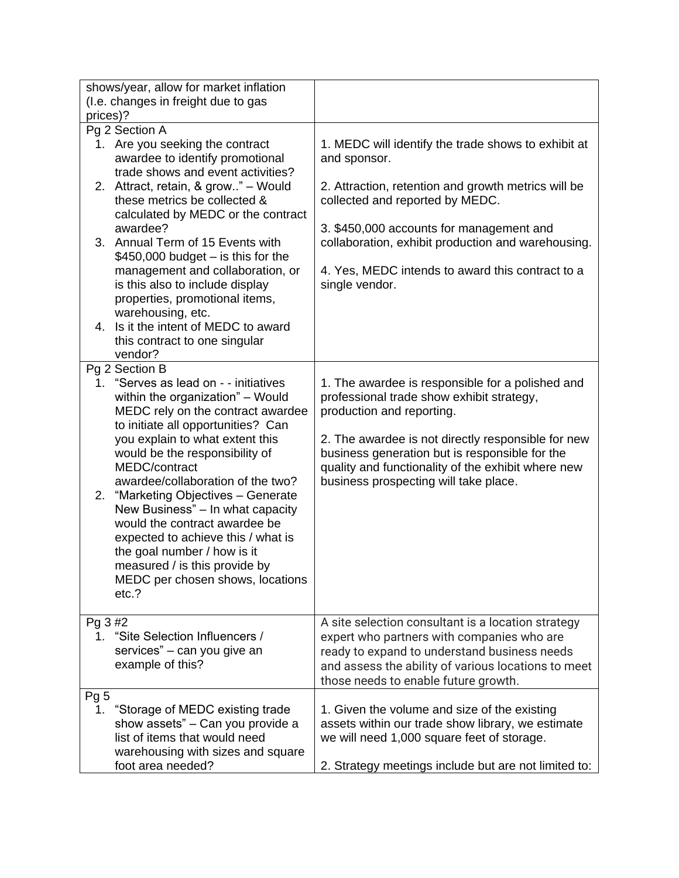|                 | shows/year, allow for market inflation                                                                  |                                                                     |
|-----------------|---------------------------------------------------------------------------------------------------------|---------------------------------------------------------------------|
|                 | (I.e. changes in freight due to gas                                                                     |                                                                     |
| prices)?        |                                                                                                         |                                                                     |
|                 | Pg 2 Section A                                                                                          |                                                                     |
|                 | 1. Are you seeking the contract<br>awardee to identify promotional<br>trade shows and event activities? | 1. MEDC will identify the trade shows to exhibit at<br>and sponsor. |
|                 | 2. Attract, retain, & grow" - Would                                                                     | 2. Attraction, retention and growth metrics will be                 |
|                 | these metrics be collected &                                                                            | collected and reported by MEDC.                                     |
|                 | calculated by MEDC or the contract                                                                      |                                                                     |
|                 | awardee?                                                                                                | 3. \$450,000 accounts for management and                            |
|                 | 3. Annual Term of 15 Events with                                                                        | collaboration, exhibit production and warehousing.                  |
|                 | $$450,000$ budget $-$ is this for the                                                                   |                                                                     |
|                 | management and collaboration, or                                                                        | 4. Yes, MEDC intends to award this contract to a                    |
|                 | is this also to include display                                                                         | single vendor.                                                      |
|                 | properties, promotional items,                                                                          |                                                                     |
|                 | warehousing, etc.                                                                                       |                                                                     |
|                 | 4. Is it the intent of MEDC to award                                                                    |                                                                     |
|                 | this contract to one singular                                                                           |                                                                     |
|                 | vendor?<br>Pg 2 Section B                                                                               |                                                                     |
|                 | 1. "Serves as lead on - - initiatives                                                                   | 1. The awardee is responsible for a polished and                    |
|                 | within the organization" - Would                                                                        | professional trade show exhibit strategy,                           |
|                 | MEDC rely on the contract awardee                                                                       | production and reporting.                                           |
|                 | to initiate all opportunities? Can                                                                      |                                                                     |
|                 | you explain to what extent this                                                                         | 2. The awardee is not directly responsible for new                  |
|                 | would be the responsibility of                                                                          | business generation but is responsible for the                      |
|                 | MEDC/contract                                                                                           | quality and functionality of the exhibit where new                  |
|                 | awardee/collaboration of the two?                                                                       | business prospecting will take place.                               |
| 2.              | "Marketing Objectives - Generate                                                                        |                                                                     |
|                 | New Business" - In what capacity<br>would the contract awardee be                                       |                                                                     |
|                 | expected to achieve this / what is                                                                      |                                                                     |
|                 | the goal number / how is it                                                                             |                                                                     |
|                 | measured / is this provide by                                                                           |                                                                     |
|                 | MEDC per chosen shows, locations                                                                        |                                                                     |
|                 | etc.?                                                                                                   |                                                                     |
|                 |                                                                                                         |                                                                     |
| Pg 3 #2         |                                                                                                         | A site selection consultant is a location strategy                  |
| 1.              | "Site Selection Influencers /                                                                           | expert who partners with companies who are                          |
|                 | services" - can you give an<br>example of this?                                                         | ready to expand to understand business needs                        |
|                 |                                                                                                         | and assess the ability of various locations to meet                 |
| Pg <sub>5</sub> |                                                                                                         | those needs to enable future growth.                                |
| 1.              | "Storage of MEDC existing trade                                                                         | 1. Given the volume and size of the existing                        |
|                 | show assets" - Can you provide a                                                                        | assets within our trade show library, we estimate                   |
|                 | list of items that would need                                                                           | we will need 1,000 square feet of storage.                          |
|                 | warehousing with sizes and square                                                                       |                                                                     |
|                 | foot area needed?                                                                                       | 2. Strategy meetings include but are not limited to:                |